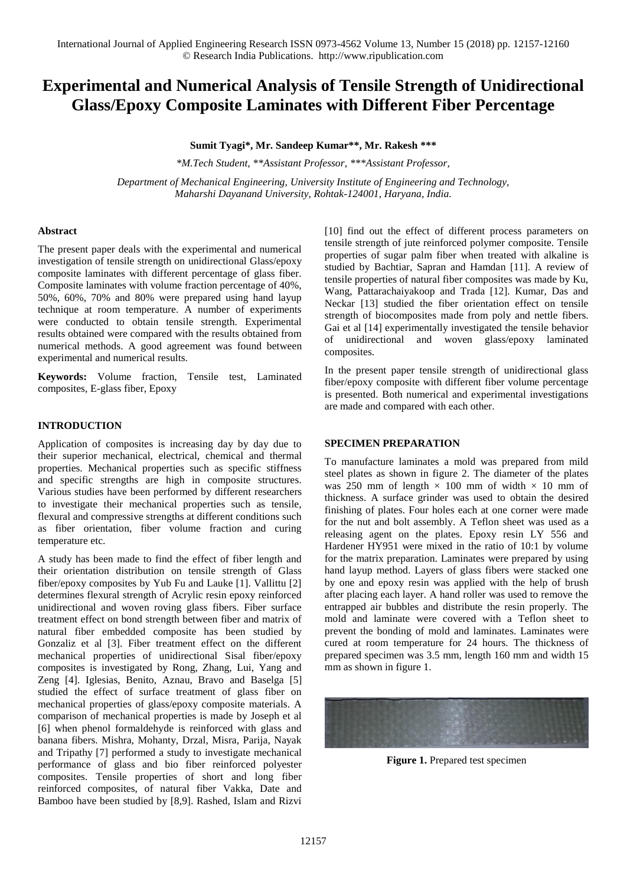# **Experimental and Numerical Analysis of Tensile Strength of Unidirectional Glass/Epoxy Composite Laminates with Different Fiber Percentage**

**Sumit Tyagi\*, Mr. Sandeep Kumar\*\*, Mr. Rakesh \*\*\***

*\*M.Tech Student, \*\*Assistant Professor, \*\*\*Assistant Professor, Department of Mechanical Engineering, University Institute of Engineering and Technology, Maharshi Dayanand University, Rohtak-124001, Haryana, India.*

## **Abstract**

The present paper deals with the experimental and numerical investigation of tensile strength on unidirectional Glass/epoxy composite laminates with different percentage of glass fiber. Composite laminates with volume fraction percentage of 40%, 50%, 60%, 70% and 80% were prepared using hand layup technique at room temperature. A number of experiments were conducted to obtain tensile strength. Experimental results obtained were compared with the results obtained from numerical methods. A good agreement was found between experimental and numerical results.

**Keywords:** Volume fraction, Tensile test, Laminated composites, E-glass fiber, Epoxy

#### **INTRODUCTION**

Application of composites is increasing day by day due to their superior mechanical, electrical, chemical and thermal properties. Mechanical properties such as specific stiffness and specific strengths are high in composite structures. Various studies have been performed by different researchers to investigate their mechanical properties such as tensile, flexural and compressive strengths at different conditions such as fiber orientation, fiber volume fraction and curing temperature etc.

A study has been made to find the effect of fiber length and their orientation distribution on tensile strength of Glass fiber/epoxy composites by Yub Fu and Lauke [1]. Vallittu [2] determines flexural strength of Acrylic resin epoxy reinforced unidirectional and woven roving glass fibers. Fiber surface treatment effect on bond strength between fiber and matrix of natural fiber embedded composite has been studied by Gonzaliz et al [3]. Fiber treatment effect on the different mechanical properties of unidirectional Sisal fiber/epoxy composites is investigated by Rong, Zhang, Lui, Yang and Zeng [4]. Iglesias, Benito, Aznau, Bravo and Baselga [5] studied the effect of surface treatment of glass fiber on mechanical properties of glass/epoxy composite materials. A comparison of mechanical properties is made by Joseph et al [6] when phenol formaldehyde is reinforced with glass and banana fibers. Mishra, Mohanty, Drzal, Misra, Parija, Nayak and Tripathy [7] performed a study to investigate mechanical performance of glass and bio fiber reinforced polyester composites. Tensile properties of short and long fiber reinforced composites, of natural fiber Vakka, Date and Bamboo have been studied by [8,9]. Rashed, Islam and Rizvi [10] find out the effect of different process parameters on tensile strength of jute reinforced polymer composite. Tensile properties of sugar palm fiber when treated with alkaline is studied by Bachtiar, Sapran and Hamdan [11]. A review of tensile properties of natural fiber composites was made by Ku, Wang, Pattarachaiyakoop and Trada [12]. Kumar, Das and Neckar [13] studied the fiber orientation effect on tensile strength of biocomposites made from poly and nettle fibers. Gai et al [14] experimentally investigated the tensile behavior of unidirectional and woven glass/epoxy laminated composites.

In the present paper tensile strength of unidirectional glass fiber/epoxy composite with different fiber volume percentage is presented. Both numerical and experimental investigations are made and compared with each other.

#### **SPECIMEN PREPARATION**

To manufacture laminates a mold was prepared from mild steel plates as shown in figure 2. The diameter of the plates was 250 mm of length  $\times$  100 mm of width  $\times$  10 mm of thickness. A surface grinder was used to obtain the desired finishing of plates. Four holes each at one corner were made for the nut and bolt assembly. A Teflon sheet was used as a releasing agent on the plates. Epoxy resin LY 556 and Hardener HY951 were mixed in the ratio of 10:1 by volume for the matrix preparation. Laminates were prepared by using hand layup method. Layers of glass fibers were stacked one by one and epoxy resin was applied with the help of brush after placing each layer. A hand roller was used to remove the entrapped air bubbles and distribute the resin properly. The mold and laminate were covered with a Teflon sheet to prevent the bonding of mold and laminates. Laminates were cured at room temperature for 24 hours. The thickness of prepared specimen was 3.5 mm, length 160 mm and width 15 mm as shown in figure 1.



**Figure 1.** Prepared test specimen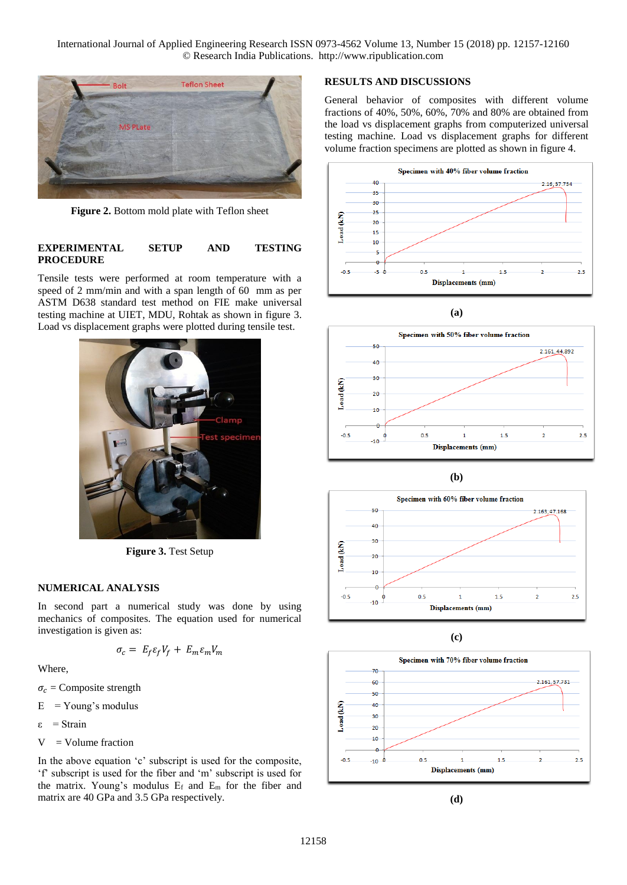International Journal of Applied Engineering Research ISSN 0973-4562 Volume 13, Number 15 (2018) pp. 12157-12160 © Research India Publications. http://www.ripublication.com



**Figure 2.** Bottom mold plate with Teflon sheet

#### **EXPERIMENTAL SETUP AND TESTING PROCEDURE**

Tensile tests were performed at room temperature with a speed of 2 mm/min and with a span length of 60 mm as per ASTM D638 standard test method on FIE make universal testing machine at UIET, MDU, Rohtak as shown in figure 3. Load vs displacement graphs were plotted during tensile test.



**Figure 3.** Test Setup

#### **NUMERICAL ANALYSIS**

In second part a numerical study was done by using mechanics of composites. The equation used for numerical investigation is given as:

$$
\sigma_c = E_f \varepsilon_f V_f + E_m \varepsilon_m V_m
$$

Where,

 $\sigma_c$  = Composite strength

 $E = Young's$  modulus

ε = Strain

$$
V = Volume fraction
$$

In the above equation 'c' subscript is used for the composite, 'f' subscript is used for the fiber and 'm' subscript is used for the matrix. Young's modulus  $E_f$  and  $E_m$  for the fiber and matrix are 40 GPa and 3.5 GPa respectively.

# **RESULTS AND DISCUSSIONS**

General behavior of composites with different volume fractions of 40%, 50%, 60%, 70% and 80% are obtained from the load vs displacement graphs from computerized universal testing machine. Load vs displacement graphs for different volume fraction specimens are plotted as shown in figure 4.



**(a)**











**(d)**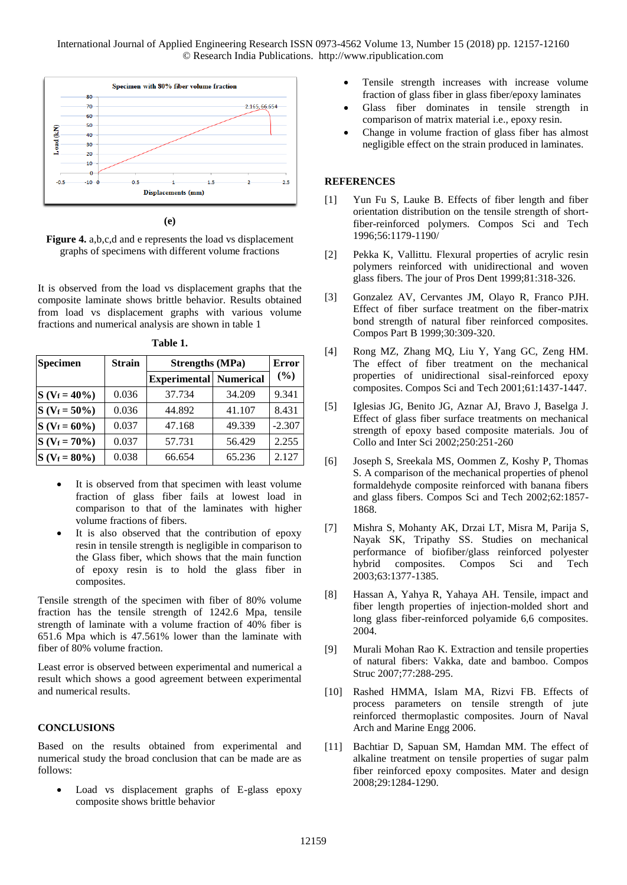International Journal of Applied Engineering Research ISSN 0973-4562 Volume 13, Number 15 (2018) pp. 12157-12160 © Research India Publications. http://www.ripublication.com



**(e)**

**Figure 4.** a,b,c,d and e represents the load vs displacement graphs of specimens with different volume fractions

It is observed from the load vs displacement graphs that the composite laminate shows brittle behavior. Results obtained from load vs displacement graphs with various volume fractions and numerical analysis are shown in table 1

| <b>Specimen</b> | <b>Strain</b> | <b>Strengths (MPa)</b>        |        | <b>Error</b> |
|-----------------|---------------|-------------------------------|--------|--------------|
|                 |               | <b>Experimental Numerical</b> |        | $($ %)       |
| $S(V_f = 40\%)$ | 0.036         | 37.734                        | 34.209 | 9.341        |
| $S(V_f = 50\%)$ | 0.036         | 44.892                        | 41.107 | 8.431        |
| $S(V_f = 60\%)$ | 0.037         | 47.168                        | 49.339 | $-2.307$     |
| $S(V_f = 70\%)$ | 0.037         | 57.731                        | 56.429 | 2.255        |
| $S(V_f = 80\%)$ | 0.038         | 66.654                        | 65.236 | 2.127        |

**Table 1.**

- It is observed from that specimen with least volume fraction of glass fiber fails at lowest load in comparison to that of the laminates with higher volume fractions of fibers.
- It is also observed that the contribution of epoxy resin in tensile strength is negligible in comparison to the Glass fiber, which shows that the main function of epoxy resin is to hold the glass fiber in composites.

Tensile strength of the specimen with fiber of 80% volume fraction has the tensile strength of 1242.6 Mpa, tensile strength of laminate with a volume fraction of 40% fiber is 651.6 Mpa which is 47.561% lower than the laminate with fiber of 80% volume fraction.

Least error is observed between experimental and numerical a result which shows a good agreement between experimental and numerical results.

#### **CONCLUSIONS**

Based on the results obtained from experimental and numerical study the broad conclusion that can be made are as follows:

 Load vs displacement graphs of E-glass epoxy composite shows brittle behavior

- Tensile strength increases with increase volume fraction of glass fiber in glass fiber/epoxy laminates
- Glass fiber dominates in tensile strength in comparison of matrix material i.e., epoxy resin.
- Change in volume fraction of glass fiber has almost negligible effect on the strain produced in laminates.

### **REFERENCES**

- [1] Yun Fu S, Lauke B. Effects of fiber length and fiber orientation distribution on the tensile strength of shortfiber-reinforced polymers. Compos Sci and Tech 1996;56:1179-1190/
- [2] Pekka K, Vallittu. Flexural properties of acrylic resin polymers reinforced with unidirectional and woven glass fibers. The jour of Pros Dent 1999;81:318-326.
- [3] Gonzalez AV, Cervantes JM, Olayo R, Franco PJH. Effect of fiber surface treatment on the fiber-matrix bond strength of natural fiber reinforced composites. Compos Part B 1999;30:309-320.
- [4] Rong MZ, Zhang MQ, Liu Y, Yang GC, Zeng HM. The effect of fiber treatment on the mechanical properties of unidirectional sisal-reinforced epoxy composites. Compos Sci and Tech 2001;61:1437-1447.
- [5] Iglesias JG, Benito JG, Aznar AJ, Bravo J, Baselga J. Effect of glass fiber surface treatments on mechanical strength of epoxy based composite materials. Jou of Collo and Inter Sci 2002;250:251-260
- [6] Joseph S, Sreekala MS, Oommen Z, Koshy P, Thomas S. A comparison of the mechanical properties of phenol formaldehyde composite reinforced with banana fibers and glass fibers. Compos Sci and Tech 2002;62:1857- 1868.
- [7] Mishra S, Mohanty AK, Drzai LT, Misra M, Parija S, Nayak SK, Tripathy SS. Studies on mechanical performance of biofiber/glass reinforced polyester hybrid composites. Compos Sci and Tech 2003;63:1377-1385.
- [8] Hassan A, Yahya R, Yahaya AH. Tensile, impact and fiber length properties of injection-molded short and long glass fiber-reinforced polyamide 6,6 composites. 2004.
- [9] Murali Mohan Rao K. Extraction and tensile properties of natural fibers: Vakka, date and bamboo. Compos Struc 2007;77:288-295.
- [10] Rashed HMMA, Islam MA, Rizvi FB. Effects of process parameters on tensile strength of jute reinforced thermoplastic composites. Journ of Naval Arch and Marine Engg 2006.
- [11] Bachtiar D, Sapuan SM, Hamdan MM. The effect of alkaline treatment on tensile properties of sugar palm fiber reinforced epoxy composites. Mater and design 2008;29:1284-1290.